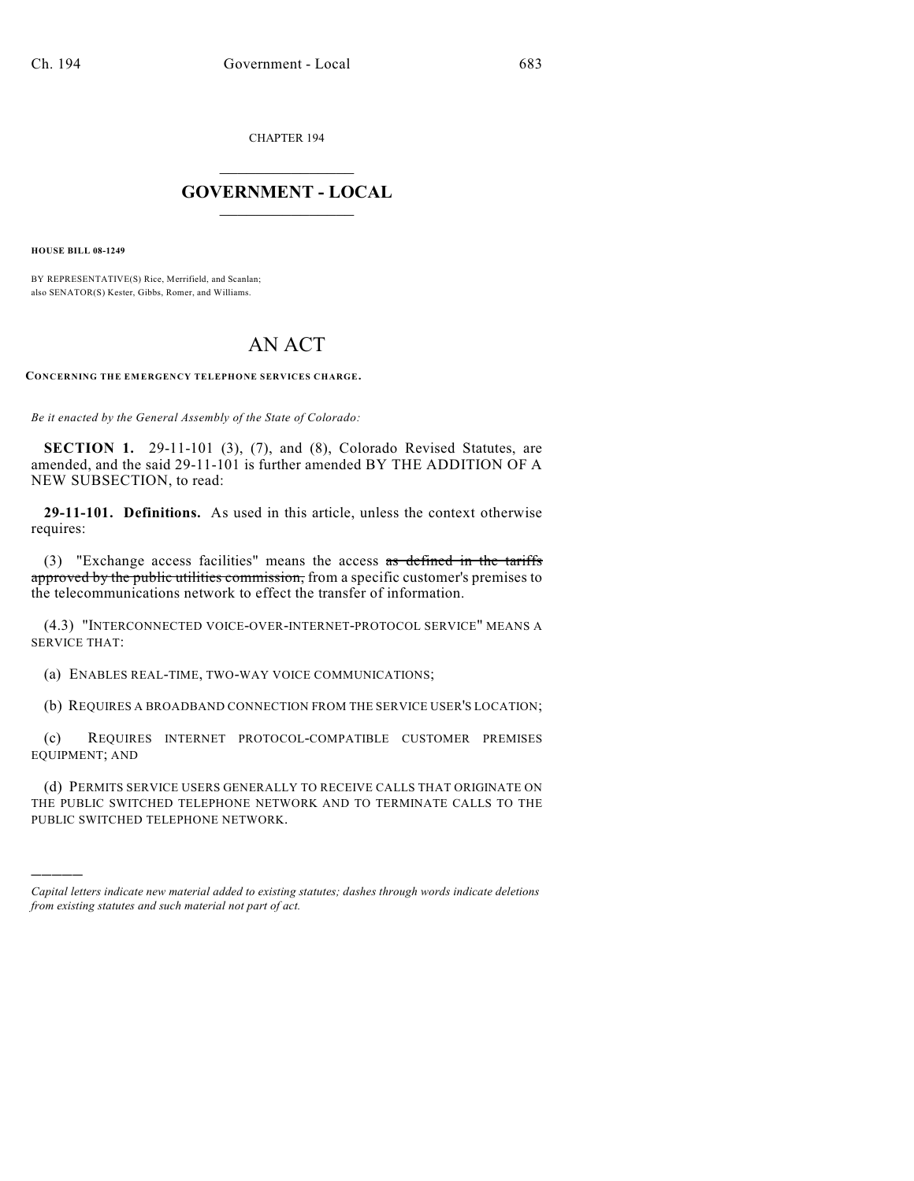CHAPTER 194

## $\mathcal{L}_\text{max}$  . The set of the set of the set of the set of the set of the set of the set of the set of the set of the set of the set of the set of the set of the set of the set of the set of the set of the set of the set **GOVERNMENT - LOCAL**  $\_$

**HOUSE BILL 08-1249**

)))))

BY REPRESENTATIVE(S) Rice, Merrifield, and Scanlan; also SENATOR(S) Kester, Gibbs, Romer, and Williams.

## AN ACT

**CONCERNING THE EMERGENCY TELEPHONE SERVICES CHARGE.**

*Be it enacted by the General Assembly of the State of Colorado:*

**SECTION 1.** 29-11-101 (3), (7), and (8), Colorado Revised Statutes, are amended, and the said 29-11-101 is further amended BY THE ADDITION OF A NEW SUBSECTION, to read:

**29-11-101. Definitions.** As used in this article, unless the context otherwise requires:

(3) "Exchange access facilities" means the access as defined in the tariffs approved by the public utilities commission, from a specific customer's premises to the telecommunications network to effect the transfer of information.

(4.3) "INTERCONNECTED VOICE-OVER-INTERNET-PROTOCOL SERVICE" MEANS A SERVICE THAT:

(a) ENABLES REAL-TIME, TWO-WAY VOICE COMMUNICATIONS;

(b) REQUIRES A BROADBAND CONNECTION FROM THE SERVICE USER'S LOCATION;

(c) REQUIRES INTERNET PROTOCOL-COMPATIBLE CUSTOMER PREMISES EQUIPMENT; AND

(d) PERMITS SERVICE USERS GENERALLY TO RECEIVE CALLS THAT ORIGINATE ON THE PUBLIC SWITCHED TELEPHONE NETWORK AND TO TERMINATE CALLS TO THE PUBLIC SWITCHED TELEPHONE NETWORK.

*Capital letters indicate new material added to existing statutes; dashes through words indicate deletions from existing statutes and such material not part of act.*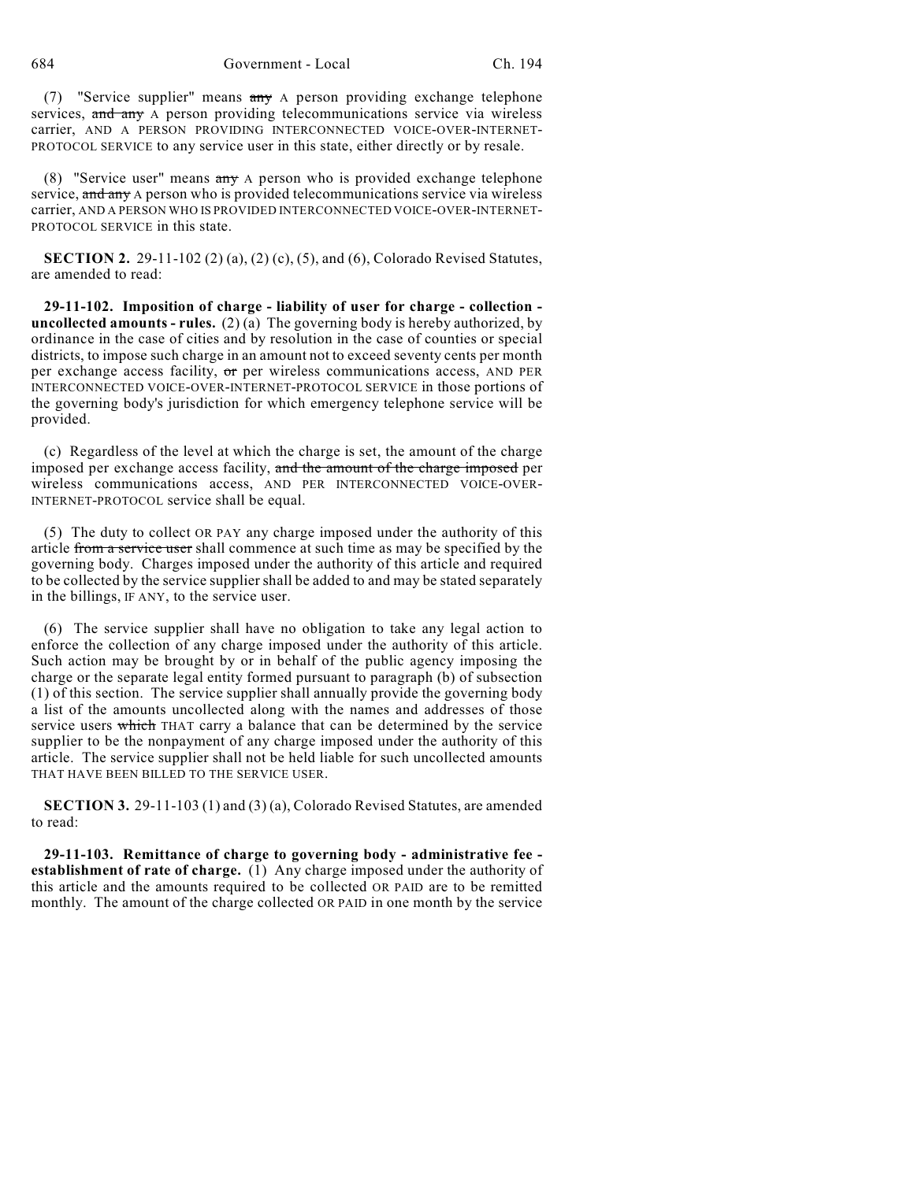684 Government - Local Ch. 194

(7) "Service supplier" means any A person providing exchange telephone services, and any A person providing telecommunications service via wireless carrier, AND A PERSON PROVIDING INTERCONNECTED VOICE-OVER-INTERNET-PROTOCOL SERVICE to any service user in this state, either directly or by resale.

(8) "Service user" means any A person who is provided exchange telephone service, and any A person who is provided telecommunications service via wireless carrier, AND A PERSON WHO IS PROVIDED INTERCONNECTED VOICE-OVER-INTERNET-PROTOCOL SERVICE in this state.

**SECTION 2.** 29-11-102 (2) (a), (2) (c), (5), and (6), Colorado Revised Statutes, are amended to read:

**29-11-102. Imposition of charge - liability of user for charge - collection uncollected amounts - rules.** (2) (a) The governing body is hereby authorized, by ordinance in the case of cities and by resolution in the case of counties or special districts, to impose such charge in an amount not to exceed seventy cents per month per exchange access facility,  $\sigma$ r per wireless communications access, AND PER INTERCONNECTED VOICE-OVER-INTERNET-PROTOCOL SERVICE in those portions of the governing body's jurisdiction for which emergency telephone service will be provided.

(c) Regardless of the level at which the charge is set, the amount of the charge imposed per exchange access facility, and the amount of the charge imposed per wireless communications access, AND PER INTERCONNECTED VOICE-OVER-INTERNET-PROTOCOL service shall be equal.

(5) The duty to collect OR PAY any charge imposed under the authority of this article from a service user shall commence at such time as may be specified by the governing body. Charges imposed under the authority of this article and required to be collected by the service supplier shall be added to and may be stated separately in the billings, IF ANY, to the service user.

(6) The service supplier shall have no obligation to take any legal action to enforce the collection of any charge imposed under the authority of this article. Such action may be brought by or in behalf of the public agency imposing the charge or the separate legal entity formed pursuant to paragraph (b) of subsection (1) of this section. The service supplier shall annually provide the governing body a list of the amounts uncollected along with the names and addresses of those service users which THAT carry a balance that can be determined by the service supplier to be the nonpayment of any charge imposed under the authority of this article. The service supplier shall not be held liable for such uncollected amounts THAT HAVE BEEN BILLED TO THE SERVICE USER.

**SECTION 3.** 29-11-103 (1) and (3) (a), Colorado Revised Statutes, are amended to read:

**29-11-103. Remittance of charge to governing body - administrative fee establishment of rate of charge.** (1) Any charge imposed under the authority of this article and the amounts required to be collected OR PAID are to be remitted monthly. The amount of the charge collected OR PAID in one month by the service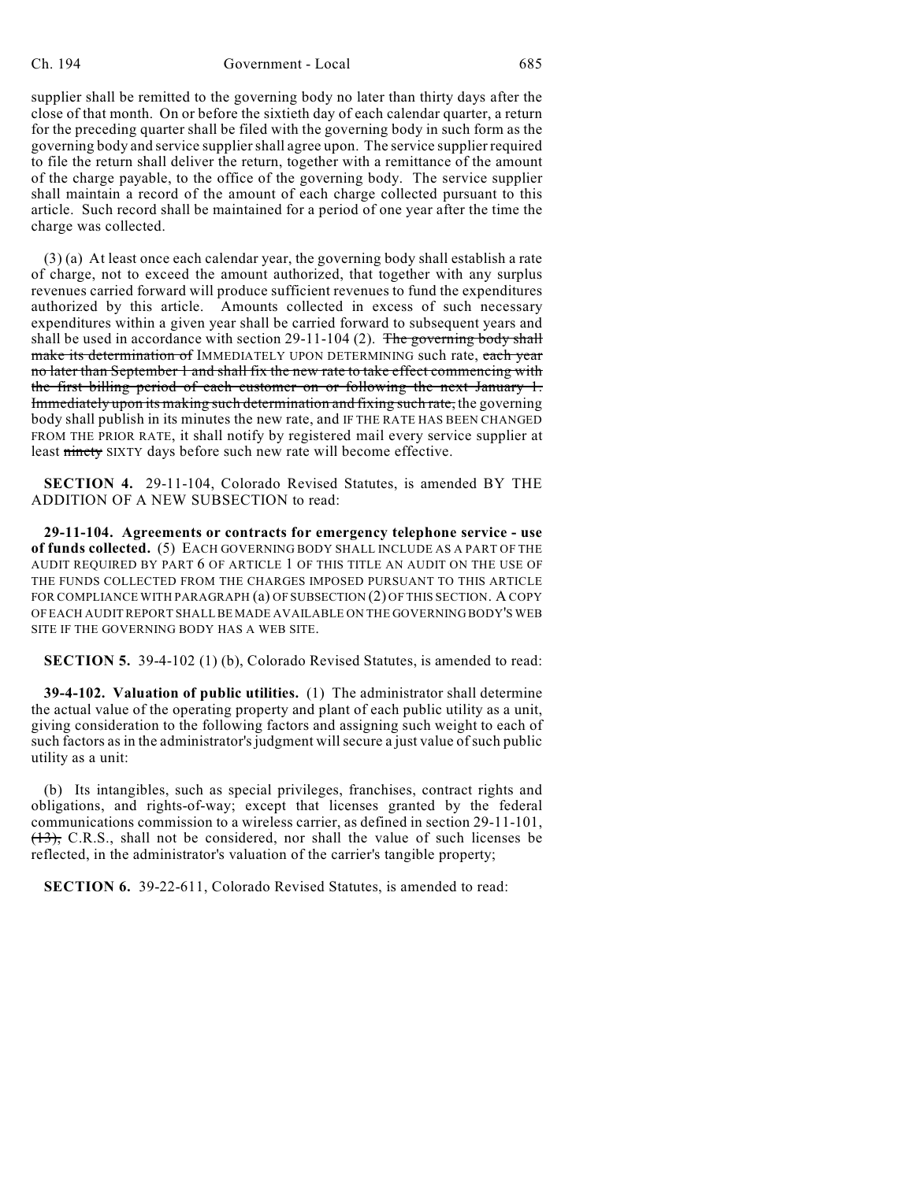supplier shall be remitted to the governing body no later than thirty days after the close of that month. On or before the sixtieth day of each calendar quarter, a return for the preceding quarter shall be filed with the governing body in such form as the governing body and service supplier shall agree upon. The service supplier required to file the return shall deliver the return, together with a remittance of the amount of the charge payable, to the office of the governing body. The service supplier shall maintain a record of the amount of each charge collected pursuant to this article. Such record shall be maintained for a period of one year after the time the charge was collected.

(3) (a) At least once each calendar year, the governing body shall establish a rate of charge, not to exceed the amount authorized, that together with any surplus revenues carried forward will produce sufficient revenues to fund the expenditures authorized by this article. Amounts collected in excess of such necessary expenditures within a given year shall be carried forward to subsequent years and shall be used in accordance with section  $29-11-104$  (2). The governing body shall make its determination of IMMEDIATELY UPON DETERMINING such rate, each year no later than September 1 and shall fix the new rate to take effect commencing with the first billing period of each customer on or following the next January 1. Immediately upon its making such determination and fixing such rate, the governing body shall publish in its minutes the new rate, and IF THE RATE HAS BEEN CHANGED FROM THE PRIOR RATE, it shall notify by registered mail every service supplier at least ninety SIXTY days before such new rate will become effective.

**SECTION 4.** 29-11-104, Colorado Revised Statutes, is amended BY THE ADDITION OF A NEW SUBSECTION to read:

**29-11-104. Agreements or contracts for emergency telephone service - use of funds collected.** (5) EACH GOVERNING BODY SHALL INCLUDE AS A PART OF THE AUDIT REQUIRED BY PART 6 OF ARTICLE 1 OF THIS TITLE AN AUDIT ON THE USE OF THE FUNDS COLLECTED FROM THE CHARGES IMPOSED PURSUANT TO THIS ARTICLE FOR COMPLIANCE WITH PARAGRAPH (a) OF SUBSECTION (2) OF THIS SECTION. A COPY OF EACH AUDIT REPORT SHALL BE MADE AVAILABLE ON THE GOVERNING BODY'S WEB SITE IF THE GOVERNING BODY HAS A WEB SITE.

**SECTION 5.** 39-4-102 (1) (b), Colorado Revised Statutes, is amended to read:

**39-4-102. Valuation of public utilities.** (1) The administrator shall determine the actual value of the operating property and plant of each public utility as a unit, giving consideration to the following factors and assigning such weight to each of such factors as in the administrator's judgment will secure a just value of such public utility as a unit:

(b) Its intangibles, such as special privileges, franchises, contract rights and obligations, and rights-of-way; except that licenses granted by the federal communications commission to a wireless carrier, as defined in section 29-11-101, (13), C.R.S., shall not be considered, nor shall the value of such licenses be reflected, in the administrator's valuation of the carrier's tangible property;

**SECTION 6.** 39-22-611, Colorado Revised Statutes, is amended to read: